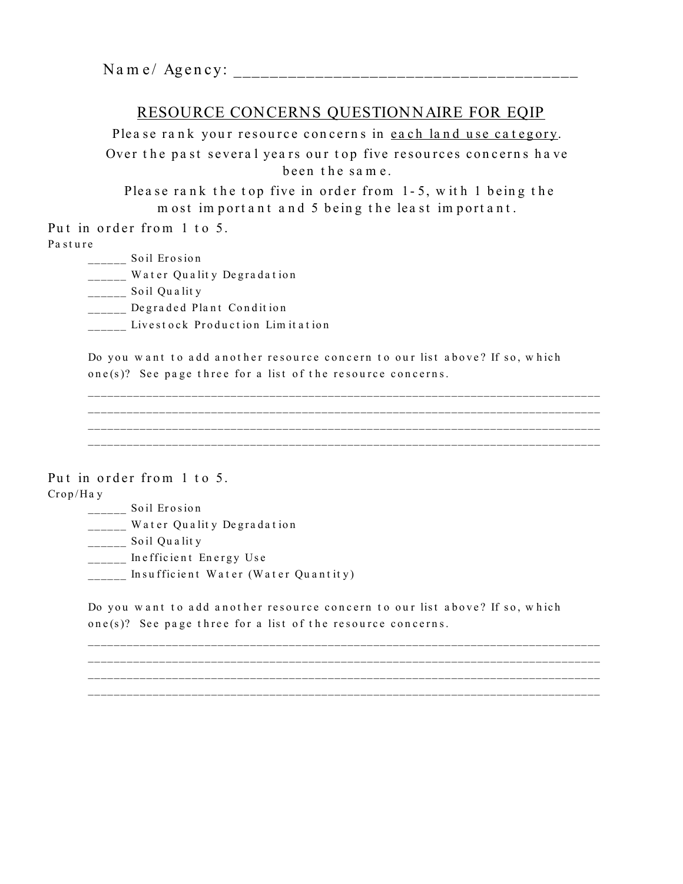# RESOURCE CONCERNS QUESTIONNAIRE FOR EQIP

Please rank your resource concerns in each land use category. Over the past several years our top five resources concerns have been the same.

Please rank the top five in order from 1-5, with 1 being the most important and 5 being the least important.

Put in order from 1 to 5.

Pasture

- $S$ oil Erosion
- \_\_\_\_\_ Water Quality Degradation
- \_\_\_\_\_\_ Soil Quality
- \_\_\_\_\_ Degraded Plant Condition
- \_\_\_\_\_ Livestock Production Limitation

Do you want to add another resource concern to our list above? If so, which one(s)? See page three for a list of the resource concerns.

Put in order from 1 to 5.  $Crop/Ha y$ 

- \_\_\_\_\_\_ Soil Erosion
- \_\_\_\_\_ Water Quality Degradation
- \_\_\_\_\_\_ Soil Quality
- \_\_\_\_\_ Inefficient Energy Use
- Insufficient Water (Water Quantity)

Do you want to add another resource concern to our list above? If so, which one(s)? See page three for a list of the resource concerns.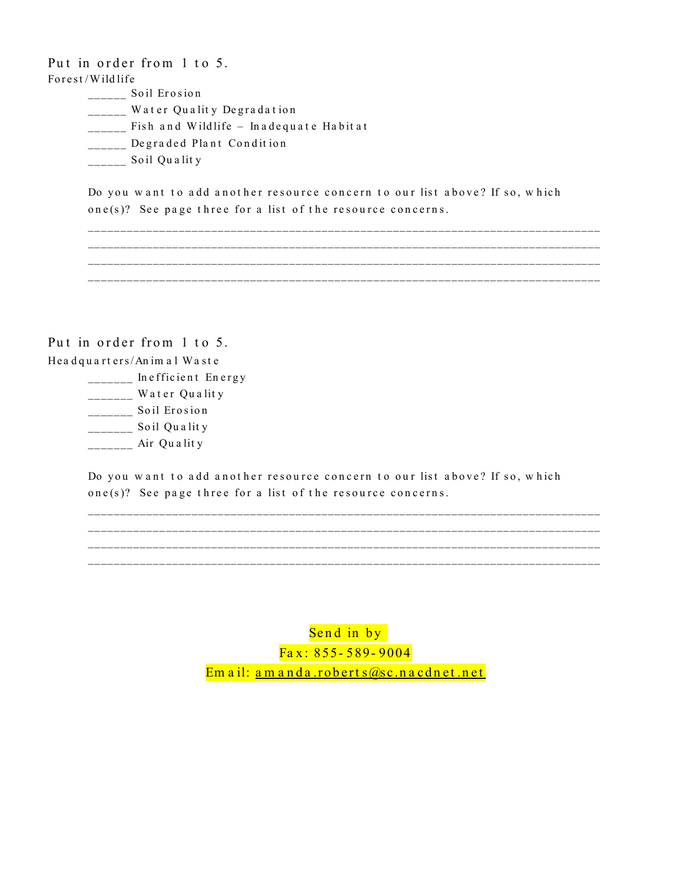Put in order from 1 to 5. Forest/Wildlife

- \_\_\_\_\_\_\_ Soil Erosion
- \_\_\_\_\_ Water Quality Degradation
- \_\_\_\_\_ Fish and Wildlife Inadequate Habitat
- Degraded Plant Condition
- $\frac{1}{1}$  Soil Quality

Do you want to add another resource concern to our list above? If so, which one(s)? See page three for a list of the resource concerns.

Put in order from 1 to 5. Headquarters/Animal Waste

- - Inefficient Energy
	- \_\_\_\_\_\_\_ Water Quality
	- \_\_\_\_\_\_\_\_ Soil Erosion
	- $\frac{1}{2}$  Soil Quality
	- Air Quality

Do you want to add another resource concern to our list above? If so, which one(s)? See page three for a list of the resource concerns.

> Send in by  $\sqrt{5a}x: 855 - 589 - 9004$ Email: <u>amanda.roberts@sc.nacdnet.net</u>